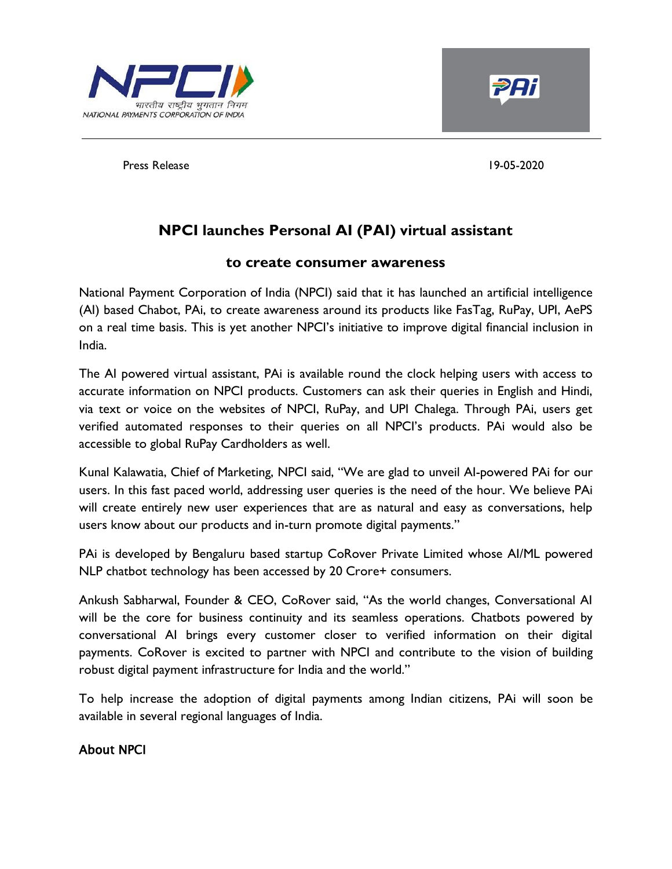



Press Release 19-05-2020

# **NPCI launches Personal AI (PAI) virtual assistant**

## **to create consumer awareness**

National Payment Corporation of India (NPCI) said that it has launched an artificial intelligence (AI) based Chabot, PAi, to create awareness around its products like FasTag, RuPay, UPI, AePS on a real time basis. This is yet another NPCI's initiative to improve digital financial inclusion in India.

The AI powered virtual assistant, PAi is available round the clock helping users with access to accurate information on NPCI products. Customers can ask their queries in English and Hindi, via text or voice on the websites of NPCI, RuPay, and UPI Chalega. Through PAi, users get verified automated responses to their queries on all NPCI's products. PAi would also be accessible to global RuPay Cardholders as well.

Kunal Kalawatia, Chief of Marketing, NPCI said, "We are glad to unveil AI-powered PAi for our users. In this fast paced world, addressing user queries is the need of the hour. We believe PAi will create entirely new user experiences that are as natural and easy as conversations, help users know about our products and in-turn promote digital payments."

PAi is developed by Bengaluru based startup CoRover Private Limited whose AI/ML powered NLP chatbot technology has been accessed by 20 Crore+ consumers.

Ankush Sabharwal, Founder & CEO, CoRover said, "As the world changes, Conversational AI will be the core for business continuity and its seamless operations. Chatbots powered by conversational AI brings every customer closer to verified information on their digital payments. CoRover is excited to partner with NPCI and contribute to the vision of building robust digital payment infrastructure for India and the world."

To help increase the adoption of digital payments among Indian citizens, PAi will soon be available in several regional languages of India.

## About NPCI